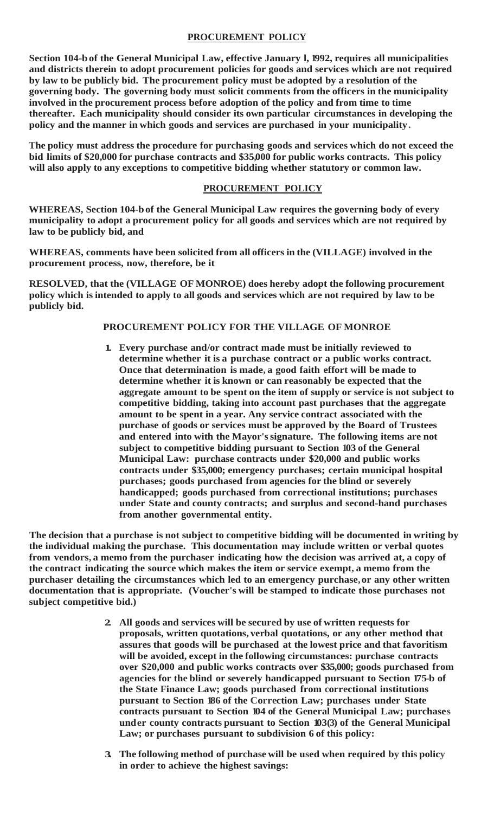## **PROCUREMENT POLICY**

**Section 104-b of the General Municipal Law, effective January l, 1992, requires all municipalities and districts therein to adopt procurement policies for goods and services which are not required by law to be publicly bid. The procurement policy must be adopted by a resolution of the governing body. The governing body must solicit comments from the officers in the municipality involved in the procurement process before adoption of the policy and from time to time thereafter. Each municipality should consider its own particular circumstances in developing the policy and the manner in which goods and services are purchased in your municipality.**

**The policy must address the procedure for purchasing goods and services which do not exceed the bid limits of \$20,000 for purchase contracts and \$35,000 for public works contracts. This policy will also apply to any exceptions to competitive bidding whether statutory or common law.**

## **PROCUREMENT POLICY**

**WHEREAS, Section 104-bof the General Municipal Law requires the governing body of every municipality to adopt a procurement policy for all goods and services which are not required by law to be publicly bid, and**

**WHEREAS, comments have been solicited from all officers in the (VILLAGE) involved in the procurement process, now, therefore, be it**

**RESOLVED, that the (VILLAGE OF MONROE) does hereby adopt the following procurement policy which isintended to apply to all goods and services which are not required by law to be publicly bid.**

## **PROCUREMENT POLICY FOR THE VILLAGE OF MONROE**

**1. Every purchase and/or contract made must be initially reviewed to determine whether it is a purchase contract or a public works contract. Once that determination is made, a good faith effort will be made to determine whether it is known or can reasonably be expected that the aggregate amount to be spent on the item of supply or service is not subject to competitive bidding, taking into account past purchases that the aggregate amount to be spent in a year. Any service contract associated with the purchase of goods or services must be approved by the Board of Trustees and entered into with the Mayor'ssignature. The following items are not subject to competitive bidding pursuant to Section 103 of the General Municipal Law: purchase contracts under \$20,000 and public works contracts under \$35,000; emergency purchases; certain municipal hospital purchases; goods purchased from agencies for the blind or severely handicapped; goods purchased from correctional institutions; purchases under State and county contracts; and surplus and second-hand purchases from another governmental entity.**

**The decision that a purchase is not subject to competitive bidding will be documented in writing by the individual making the purchase. This documentation may include written or verbal quotes from vendors, a memo from the purchaser indicating how the decision was arrived at, a copy of the contract indicating the source which makes the item or service exempt, a memo from the purchaser detailing the circumstances which led to an emergency purchase,or any other written documentation that is appropriate. (Voucher's will be stamped to indicate those purchases not subject competitive bid.)**

- **2. All goods and services will be secured by use of written requests for proposals, written quotations, verbal quotations, or any other method that assures that goods will be purchased at the lowest price and that favoritism will be avoided, except in the following circumstances: purchase contracts over \$20,000 and public works contracts over \$35,000; goods purchased from agencies for the blind or severely handicapped pursuant to Section 175-b of the State Finance Law; goods purchased from correctional institutions pursuant to Section 186 of the Correction Law; purchases under State contracts pursuant to Section 104 of the General Municipal Law; purchases under county contracts pursuant to Section 103(3) of the General Municipal Law; or purchases pursuant to subdivision 6 of this policy:**
- **3. The following method of purchase will be used when required by this policy in order to achieve the highest savings:**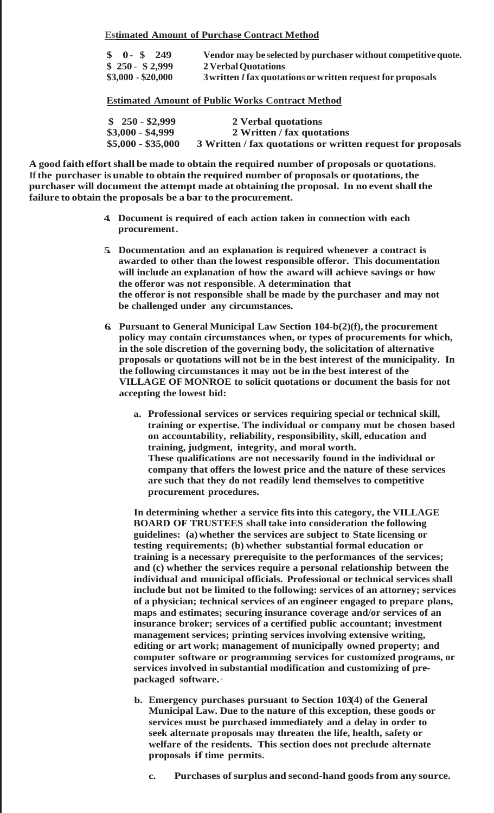**Estimated Amount of Purchase Contract Method**

| $\frac{1}{2}$ 0 - \$ 249 | Vendor may be selected by purchaser without competitive quote. |
|--------------------------|----------------------------------------------------------------|
| $$250 - $2,999$          | 2 Verbal Quotations                                            |
| $$3,000 - $20,000$       | 3 written I fax quotations or written request for proposals    |

**Estimated Amount of Public Works Contract Method**

| $$250 - $2,999$    | 2 Verbal quotations                                         |
|--------------------|-------------------------------------------------------------|
| $$3,000 - $4,999$  | 2 Written / fax quotations                                  |
| $$5,000 - $35,000$ | 3 Written / fax quotations or written request for proposals |

**A good faith effort shall be made to obtain the required number of proposals or quotations. If the purchaser is unable to obtain the required number of proposals or quotations, the purchaser will document the attempt made at obtaining the proposal. In no event shall the failure to obtain the proposals be a bar to the procurement.**

- **4. Document is required of each action taken in connection with each procurement.**
- **5. Documentation and an explanation is required whenever a contract is awarded to other than the lowest responsible offeror. This documentation will include an explanation of how the award will achieve savings or how the offeror was not responsible. A determination that the offeror is not responsible shall be made by the purchaser and may not be challenged under any circumstances.**
- **6. Pursuant to General Municipal Law Section 104-b(2)(f), the procurement policy may contain circumstances when, or types of procurements for which, in the sole discretion of the governing body, the solicitation of alternative proposals or quotations will not be in the best interest of the municipality. In the following circumstances it may not be in the best interest of the VILLAGE OF MONROE to solicit quotations or document the basis for not accepting the lowest bid:**
	- **a. Professional services or services requiring special or technical skill, training or expertise. The individual or company mut be chosen based on accountability, reliability, responsibility, skill, education and training, judgment, integrity, and moral worth. These qualifications are not necessarily found in the individual or company that offers the lowest price and the nature of these services are such that they do not readily lend themselves to competitive procurement procedures.**

**In determining whether a service fits into this category, the VILLAGE BOARD OF TRUSTEES shall take into consideration the following guidelines: (a) whether the services are subject to State licensing or testing requirements; (b) whether substantial formal education or training is a necessary prerequisite to the performances of the services; and (c) whether the services require a personal relationship between the individual and municipal officials. Professional or technical services shall include but not be limited to the following: services of an attorney; services of a physician; technical services of an engineer engaged to prepare plans, maps and estimates; securing insurance coverage and/or services of an insurance broker; services of a certified public accountant; investment management services; printing services involving extensive writing, editing or art work; management of municipally owned property; and computer software or programming services for customized programs, or services involved in substantial modification and customizing of prepackaged software. ·**

- **b. Emergency purchases pursuant to Section 103(4) of the General Municipal Law. Due to the nature of this exception, these goods or services must be purchased immediately and a delay in order to seek alternate proposals may threaten the life, health, safety or welfare of the residents. This section does not preclude alternate proposals if time permits.**
	- **c. Purchases ofsurplus and second-hand goodsfrom any source.**